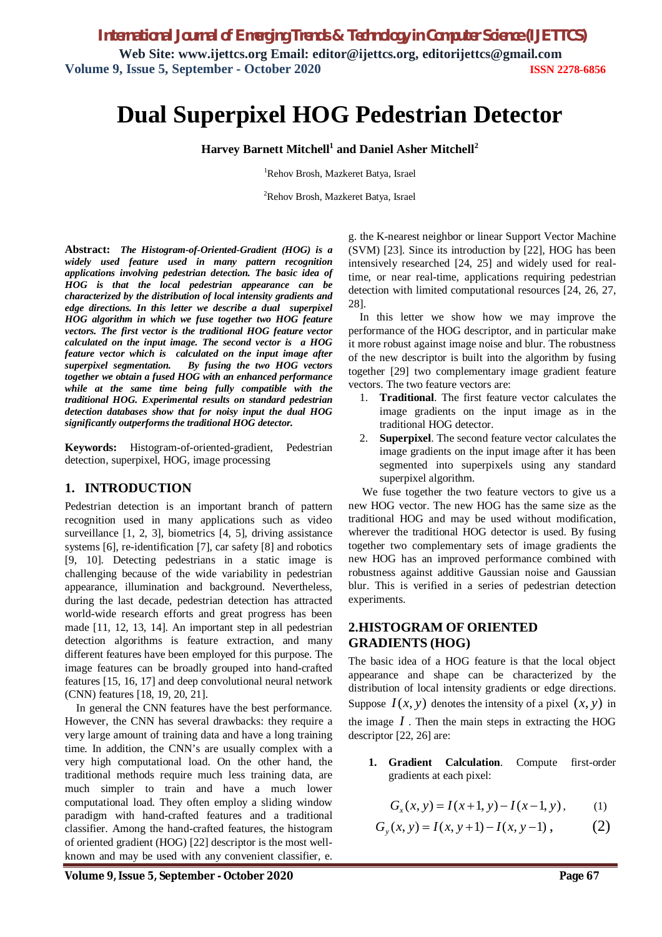*International Journal of Emerging Trends & Technology in Computer Science (IJETTCS)* **Web Site: www.ijettcs.org Email: editor@ijettcs.org, editorijettcs@gmail.com Volume 9, Issue 5, September - October 2020 ISSN 2278-6856**

# **Dual Superpixel HOG Pedestrian Detector**

## **Harvey Barnett Mitchell<sup>1</sup> and Daniel Asher Mitchell<sup>2</sup>**

<sup>1</sup>Rehov Brosh, Mazkeret Batya, Israel

<sup>2</sup>Rehov Brosh, Mazkeret Batya, Israel

**Abstract:** *The Histogram-of-Oriented-Gradient (HOG) is a widely used feature used in many pattern recognition applications involving pedestrian detection. The basic idea of HOG is that the local pedestrian appearance can be characterized by the distribution of local intensity gradients and edge directions. In this letter we describe a dual superpixel HOG algorithm in which we fuse together two HOG feature vectors. The first vector is the traditional HOG feature vector calculated on the input image. The second vector is a HOG feature vector which is calculated on the input image after superpixel segmentation. By fusing the two HOG vectors together we obtain a fused HOG with an enhanced performance while at the same time being fully compatible with the traditional HOG. Experimental results on standard pedestrian detection databases show that for noisy input the dual HOG significantly outperforms the traditional HOG detector.* 

**Keywords:** Histogram-of-oriented-gradient, Pedestrian detection, superpixel, HOG, image processing

### **1. INTRODUCTION**

Pedestrian detection is an important branch of pattern recognition used in many applications such as video surveillance [1, 2, 3], biometrics [4, 5], driving assistance systems [6], re-identification [7], car safety [8] and robotics [9, 10]. Detecting pedestrians in a static image is challenging because of the wide variability in pedestrian appearance, illumination and background. Nevertheless, during the last decade, pedestrian detection has attracted world-wide research efforts and great progress has been made [11, 12, 13, 14]. An important step in all pedestrian detection algorithms is feature extraction, and many different features have been employed for this purpose. The image features can be broadly grouped into hand-crafted features [15, 16, 17] and deep convolutional neural network (CNN) features [18, 19, 20, 21].

In general the CNN features have the best performance. However, the CNN has several drawbacks: they require a very large amount of training data and have a long training time. In addition, the CNN's are usually complex with a very high computational load. On the other hand, the traditional methods require much less training data, are much simpler to train and have a much lower computational load. They often employ a sliding window paradigm with hand-crafted features and a traditional classifier. Among the hand-crafted features, the histogram of oriented gradient (HOG) [22] descriptor is the most wellknown and may be used with any convenient classifier, e.

g. the K-nearest neighbor or linear Support Vector Machine (SVM) [23]. Since its introduction by [22], HOG has been intensively researched [24, 25] and widely used for realtime, or near real-time, applications requiring pedestrian detection with limited computational resources [24, 26, 27, 28].

In this letter we show how we may improve the performance of the HOG descriptor, and in particular make it more robust against image noise and blur. The robustness of the new descriptor is built into the algorithm by fusing together [29] two complementary image gradient feature vectors. The two feature vectors are:

- 1. **Traditional**. The first feature vector calculates the image gradients on the input image as in the traditional HOG detector.
- 2. **Superpixel**. The second feature vector calculates the image gradients on the input image after it has been segmented into superpixels using any standard superpixel algorithm.

We fuse together the two feature vectors to give us a new HOG vector. The new HOG has the same size as the traditional HOG and may be used without modification, wherever the traditional HOG detector is used. By fusing together two complementary sets of image gradients the new HOG has an improved performance combined with robustness against additive Gaussian noise and Gaussian blur. This is verified in a series of pedestrian detection experiments.

# **2.HISTOGRAM OF ORIENTED GRADIENTS (HOG)**

The basic idea of a HOG feature is that the local object appearance and shape can be characterized by the distribution of local intensity gradients or edge directions. Suppose  $I(x, y)$  denotes the intensity of a pixel  $(x, y)$  in the image  $I$ . Then the main steps in extracting the HOG descriptor [22, 26] are:

**1. Gradient Calculation**. Compute first-order gradients at each pixel:

$$
G_x(x, y) = I(x+1, y) - I(x-1, y), \qquad (1)
$$

$$
G_y(x, y) = I(x, y+1) - I(x, y-1), \qquad (2)
$$

**Volume 9, Issue 5, September - October 2020 Page 67**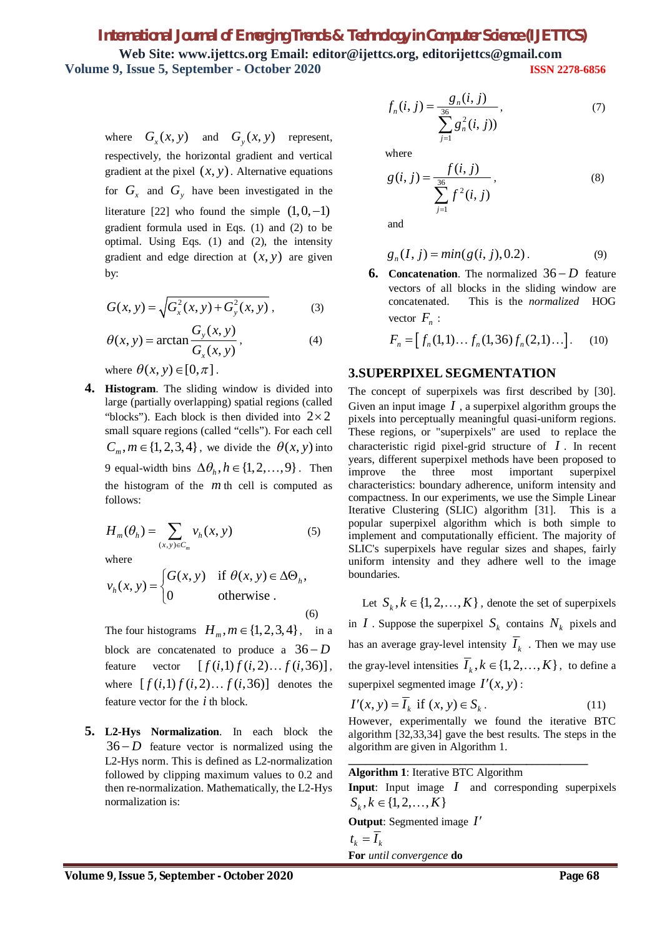# *International Journal of Emerging Trends & Technology in Computer Science (IJETTCS)* **Web Site: www.ijettcs.org Email: editor@ijettcs.org, editorijettcs@gmail.com Volume 9, Issue 5, September - October 2020 ISSN 2278-6856**

where  $G_x(x, y)$  and  $G_y(x, y)$  represent, respectively, the horizontal gradient and vertical gradient at the pixel  $(x, y)$ . Alternative equations for  $G_x$  and  $G_y$  have been investigated in the literature [22] who found the simple  $(1,0,-1)$ gradient formula used in Eqs. (1) and (2) to be optimal. Using Eqs. (1) and (2), the intensity gradient and edge direction at  $(x, y)$  are given by:

$$
G(x, y) = \sqrt{G_x^2(x, y) + G_y^2(x, y)},
$$
 (3)

$$
\theta(x, y) = \arctan \frac{G_y(x, y)}{G_x(x, y)},
$$
\n(4)

where  $\theta(x, y) \in [0, \pi]$ .

**4. Histogram**. The sliding window is divided into large (partially overlapping) spatial regions (called "blocks"). Each block is then divided into  $2 \times 2$ small square regions (called "cells"). For each cell  $C_m, m \in \{1, 2, 3, 4\}$ , we divide the  $\theta(x, y)$  into 9 equal-width bins  $\Delta\theta_h$ ,  $h \in \{1,2,\ldots,9\}$ . Then the histogram of the *m* th cell is computed as follows:

$$
H_m(\theta_h) = \sum_{(x,y)\in C_m} v_h(x,y) \tag{5}
$$

where

$$
v_h(x, y) = \begin{cases} G(x, y) & \text{if } \theta(x, y) \in \Delta \Theta_h, \\ 0 & \text{otherwise.} \end{cases}
$$
 (6)

The four histograms  $H_m, m \in \{1,2,3,4\}$ , in a block are concatenated to produce a  $36-D$ feature vector  $[f(i,1) f(i,2) ... f(i,36)],$ where  $[f(i,1) f(i,2) ... f(i,36)]$  denotes the feature vector for the *i* th block.

**5. L2-Hys Normalization**. In each block the  $36 - D$  feature vector is normalized using the L2-Hys norm. This is defined as L2-normalization followed by clipping maximum values to 0.2 and then re-normalization. Mathematically, the L2-Hys normalization is:

$$
f_n(i, j) = \frac{g_n(i, j)}{\sum_{j=1}^{36} g_n^2(i, j))},
$$
\n(7)

where

$$
g(i, j) = \frac{f(i, j)}{\sum_{j=1}^{36} f^{2}(i, j)},
$$
\n(8)

and

$$
g_n(I, j) = min(g(i, j), 0.2). \tag{9}
$$

**6. Concatenation**. The normalized  $36-D$  feature vectors of all blocks in the sliding window are concatenated. This is the *normalized* HOG vector  $F_n$ :

$$
F_n = [f_n(1,1)\dots f_n(1,36)f_n(2,1)\dots].
$$
 (10)

### **3.SUPERPIXEL SEGMENTATION**

The concept of superpixels was first described by [30]. Given an input image  $I$ , a superpixel algorithm groups the pixels into perceptually meaningful quasi-uniform regions. These regions, or "superpixels" are used to replace the characteristic rigid pixel-grid structure of *I* . In recent years, different superpixel methods have been proposed to improve the three most important superpixel characteristics: boundary adherence, uniform intensity and compactness. In our experiments, we use the Simple Linear Iterative Clustering (SLIC) algorithm [31]. This is a popular superpixel algorithm which is both simple to implement and computationally efficient. The majority of SLIC's superpixels have regular sizes and shapes, fairly uniform intensity and they adhere well to the image boundaries.

Let  $S_k$ ,  $k \in \{1, 2, ..., K\}$ , denote the set of superpixels in *I* . Suppose the superpixel  $S_k$  contains  $N_k$  pixels and has an average gray-level intensity  $I_k$ . Then we may use the gray-level intensities  $I_k$ ,  $k \in \{1, 2, ..., K\}$ , to define a superpixel segmented image  $I'(x, y)$ :

$$
I'(x, y) = I_k \text{ if } (x, y) \in S_k. \tag{11}
$$

However, experimentally we found the iterative BTC algorithm [32,33,34] gave the best results. The steps in the algorithm are given in Algorithm 1.

**\_\_\_\_\_\_\_\_\_\_\_\_\_\_\_\_\_\_\_\_\_\_\_\_\_\_\_\_\_\_\_\_\_\_\_\_\_\_\_\_\_\_\_**

#### **Algorithm 1**: Iterative BTC Algorithm

**Input**: Input image *I* and corresponding superpixels  $S_k, k \in \{1, 2, \ldots, K\}$ 

**Output**: Segmented image *I*

$$
t_k = I_k
$$
  
**For** *until convergence* **do**

Volume 9, Issue 5, September - October 2020 **Page 68**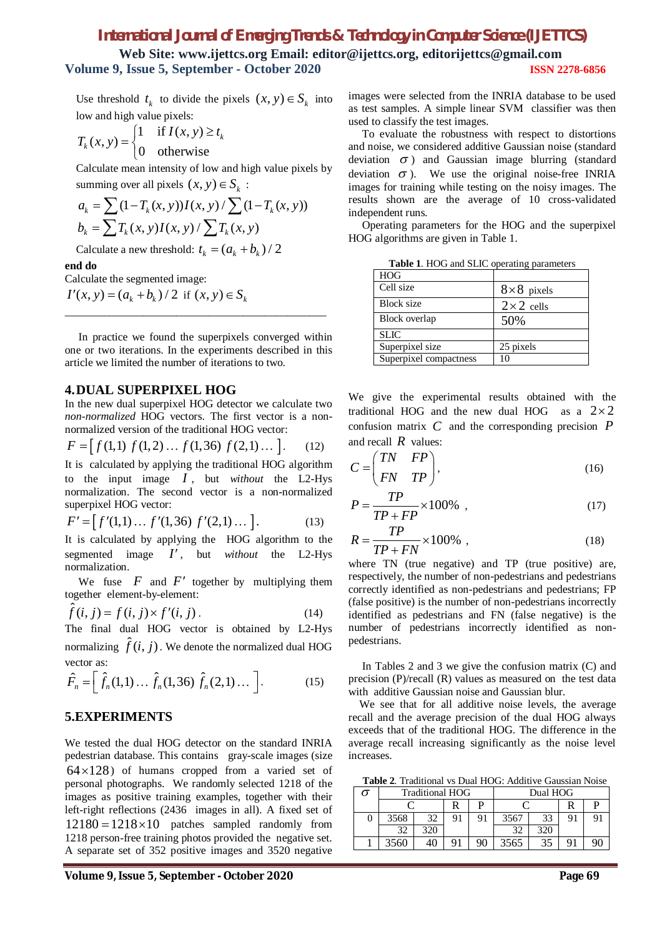# *International Journal of Emerging Trends & Technology in Computer Science (IJETTCS)*

**Web Site: www.ijettcs.org Email: editor@ijettcs.org, editorijettcs@gmail.com Volume 9, Issue 5, September - October 2020 ISSN 2278-6856**

Use threshold  $t_k$  to divide the pixels  $(x, y) \in S_k$  into low and high value pixels:

$$
T_k(x, y) = \begin{cases} 1 & \text{if } I(x, y) \ge t_k \\ 0 & \text{otherwise} \end{cases}
$$

Calculate mean intensity of low and high value pixels by summing over all pixels  $(x, y) \in S_k$ :

$$
a_k = \sum (1 - T_k(x, y)) I(x, y) / \sum (1 - T_k(x, y))
$$
  

$$
b_k = \sum T_k(x, y) I(x, y) / \sum T_k(x, y)
$$

Calculate a new threshold:  $t_k = (a_k + b_k)/2$ 

#### **end do**

Calculate the segmented image:

 $(I'(x, y) = (a_k + b_k) / 2$  if  $(x, y) \in S_k$ 

 In practice we found the superpixels converged within one or two iterations. In the experiments described in this article we limited the number of iterations to two.

\_\_\_\_\_\_\_\_\_\_\_\_\_\_\_\_\_\_\_\_\_\_\_\_\_\_\_\_\_\_\_\_\_\_\_\_\_\_\_\_\_\_\_\_\_\_\_

#### **4.DUAL SUPERPIXEL HOG**

In the new dual superpixel HOG detector we calculate two *non-normalized* HOG vectors. The first vector is a nonnormalized version of the traditional HOG vector:

$$
F = [f(1,1) f(1,2) \dots f(1,36) f(2,1) \dots ].
$$
 (12)

It is calculated by applying the traditional HOG algorithm to the input image *I* , but *without* the L2-Hys normalization. The second vector is a non-normalized superpixel HOG vector:

$$
F' = [f'(1,1)\dots f'(1,36) f'(2,1)\dots].
$$
 (13)

It is calculated by applying the HOG algorithm to the segmented image *I* , but *without* the L2-Hys normalization.

We fuse  $F$  and  $F'$  together by multiplying them together element-by-element:

$$
\hat{f}(i,j) = f(i,j) \times f'(i,j).
$$
\n(14)

The final dual HOG vector is obtained by L2-Hys normalizing  $\hat{f}(i, j)$  . We denote the normalized dual HOG vector as:

$$
\hat{F}_n = \left[ \hat{f}_n(1,1) \dots \hat{f}_n(1,36) \hat{f}_n(2,1) \dots \right].
$$
 (15)

#### **5.EXPERIMENTS**

We tested the dual HOG detector on the standard INRIA pedestrian database. This contains gray-scale images (size  $64 \times 128$ ) of humans cropped from a varied set of personal photographs. We randomly selected 1218 of the images as positive training examples, together with their left-right reflections (2436 images in all). A fixed set of  $12180 = 1218 \times 10$  patches sampled randomly from 1218 person-free training photos provided the negative set. A separate set of 352 positive images and 3520 negative

images were selected from the INRIA database to be used as test samples. A simple linear SVM classifier was then used to classify the test images.

 To evaluate the robustness with respect to distortions and noise, we considered additive Gaussian noise (standard deviation  $\sigma$ ) and Gaussian image blurring (standard deviation  $\sigma$ ). We use the original noise-free INRIA images for training while testing on the noisy images. The results shown are the average of 10 cross-validated independent runs.

 Operating parameters for the HOG and the superpixel HOG algorithms are given in Table 1.

| $8\times 8$ pixels |
|--------------------|
| $2 \times 2$ cells |
| 50%                |
|                    |
| 25 pixels          |
| 10                 |
|                    |

**Table 1**. HOG and SLIC operating parameters

We give the experimental results obtained with the traditional HOG and the new dual HOG as a  $2 \times 2$ confusion matrix *C* and the corresponding precision *P* and recall *R* values:

$$
C = \begin{pmatrix} TN & FP \\ FN & TP \end{pmatrix}, \tag{16}
$$

$$
P = \frac{TP}{TP + FP} \times 100\% \tag{17}
$$

$$
R = \frac{TP}{TP + FN} \times 100\% ,\qquad (18)
$$

where TN (true negative) and TP (true positive) are, respectively, the number of non-pedestrians and pedestrians correctly identified as non-pedestrians and pedestrians; FP (false positive) is the number of non-pedestrians incorrectly identified as pedestrians and FN (false negative) is the number of pedestrians incorrectly identified as nonpedestrians.

 In Tables 2 and 3 we give the confusion matrix (C) and precision (P)/recall (R) values as measured on the test data with additive Gaussian noise and Gaussian blur.

 We see that for all additive noise levels, the average recall and the average precision of the dual HOG always exceeds that of the traditional HOG. The difference in the average recall increasing significantly as the noise level increases.

 **Table 2**. Traditional vs Dual HOG: Additive Gaussian Noise

|   |      | <b>Traditional HOG</b> |    |    | Dual HOG |     |  |  |  |
|---|------|------------------------|----|----|----------|-----|--|--|--|
|   |      |                        | R  | D  |          |     |  |  |  |
| U | 3568 | 32                     | 91 | 91 | 3567     | 33  |  |  |  |
|   |      | 320                    |    |    | 32       | 320 |  |  |  |
|   | 3560 |                        |    | 90 | 3565     | 35  |  |  |  |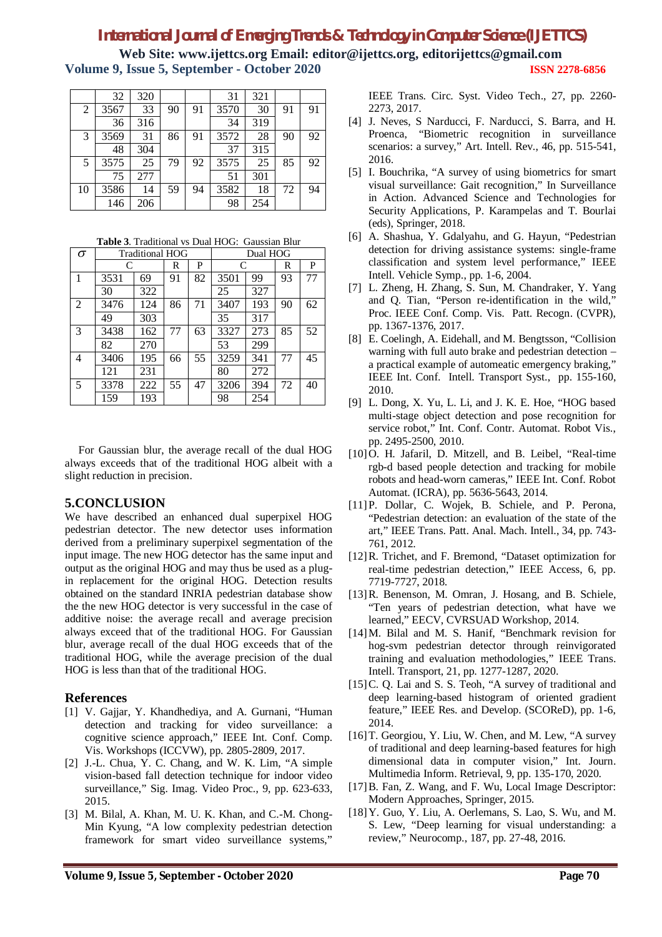# *International Journal of Emerging Trends & Technology in Computer Science (IJETTCS)*

**Web Site: www.ijettcs.org Email: editor@ijettcs.org, editorijettcs@gmail.com Volume 9, Issue 5, September - October 2020 ISSN 2278-6856**

|                | 32   | 320 |    |    | 31   | 321 |    |    |
|----------------|------|-----|----|----|------|-----|----|----|
| $\overline{2}$ | 3567 | 33  | 90 | 91 | 3570 | 30  | 91 | 91 |
|                | 36   | 316 |    |    | 34   | 319 |    |    |
| 3              | 3569 | 31  | 86 | 91 | 3572 | 28  | 90 | 92 |
|                | 48   | 304 |    |    | 37   | 315 |    |    |
| 5              | 3575 | 25  | 79 | 92 | 3575 | 25  | 85 | 92 |
|                | 75   | 277 |    |    | 51   | 301 |    |    |
| 10             | 3586 | 14  | 59 | 94 | 3582 | 18  | 72 | 94 |
|                | 146  | 206 |    |    | 98   | 254 |    |    |

**Table 3**. Traditional vs Dual HOG: Gaussian Blur

| $\sigma$       |      | <b>Traditional HOG</b> |    |    | Dual HOG |     |    |    |  |
|----------------|------|------------------------|----|----|----------|-----|----|----|--|
|                | C    |                        | R  | P  | C        |     | R  | P  |  |
| 1              | 3531 | 69                     | 91 | 82 | 3501     | 99  | 93 | 77 |  |
|                | 30   | 322                    |    |    | 25       | 327 |    |    |  |
| $\overline{2}$ | 3476 | 124                    | 86 | 71 | 3407     | 193 | 90 | 62 |  |
|                | 49   | 303                    |    |    | 35       | 317 |    |    |  |
| 3              | 3438 | 162                    | 77 | 63 | 3327     | 273 | 85 | 52 |  |
|                | 82   | 270                    |    |    | 53       | 299 |    |    |  |
| 4              | 3406 | 195                    | 66 | 55 | 3259     | 341 | 77 | 45 |  |
|                | 121  | 231                    |    |    | 80       | 272 |    |    |  |
| 5              | 3378 | 222                    | 55 | 47 | 3206     | 394 | 72 | 40 |  |
|                | 159  | 193                    |    |    | 98       | 254 |    |    |  |

 For Gaussian blur, the average recall of the dual HOG always exceeds that of the traditional HOG albeit with a slight reduction in precision.

### **5.CONCLUSION**

We have described an enhanced dual superpixel HOG pedestrian detector. The new detector uses information derived from a preliminary superpixel segmentation of the input image. The new HOG detector has the same input and output as the original HOG and may thus be used as a plugin replacement for the original HOG. Detection results obtained on the standard INRIA pedestrian database show the the new HOG detector is very successful in the case of additive noise: the average recall and average precision always exceed that of the traditional HOG. For Gaussian blur, average recall of the dual HOG exceeds that of the traditional HOG, while the average precision of the dual HOG is less than that of the traditional HOG.

# **References**

- [1] V. Gajjar, Y. Khandhediya, and A. Gurnani, "Human detection and tracking for video surveillance: a cognitive science approach," IEEE Int. Conf. Comp. Vis. Workshops (ICCVW), pp. 2805-2809, 2017.
- [2] J.-L. Chua, Y. C. Chang, and W. K. Lim, "A simple vision-based fall detection technique for indoor video surveillance," Sig. Imag. Video Proc., 9, pp. 623-633, 2015.
- [3] M. Bilal, A. Khan, M. U. K. Khan, and C.-M. Chong-Min Kyung, "A low complexity pedestrian detection framework for smart video surveillance systems,"

IEEE Trans. Circ. Syst. Video Tech., 27, pp. 2260- 2273, 2017.

- [4] J. Neves, S Narducci, F. Narducci, S. Barra, and H. Proenca, "Biometric recognition in surveillance scenarios: a survey," Art. Intell. Rev., 46, pp. 515-541, 2016.
- [5] I. Bouchrika, "A survey of using biometrics for smart visual surveillance: Gait recognition," In Surveillance in Action. Advanced Science and Technologies for Security Applications, P. Karampelas and T. Bourlai (eds), Springer, 2018.
- [6] A. Shashua, Y. Gdalyahu, and G. Hayun, "Pedestrian detection for driving assistance systems: single-frame classification and system level performance," IEEE Intell. Vehicle Symp., pp. 1-6, 2004.
- [7] L. Zheng, H. Zhang, S. Sun, M. Chandraker, Y. Yang and Q. Tian, "Person re-identification in the wild," Proc. IEEE Conf. Comp. Vis. Patt. Recogn. (CVPR), pp. 1367-1376, 2017.
- [8] E. Coelingh, A. Eidehall, and M. Bengtsson, "Collision warning with full auto brake and pedestrian detection – a practical example of automeatic emergency braking," IEEE Int. Conf. Intell. Transport Syst., pp. 155-160, 2010.
- [9] L. Dong, X. Yu, L. Li, and J. K. E. Hoe, "HOG based multi-stage object detection and pose recognition for service robot," Int. Conf. Contr. Automat. Robot Vis., pp. 2495-2500, 2010.
- [10]O. H. Jafaril, D. Mitzell, and B. Leibel, "Real-time rgb-d based people detection and tracking for mobile robots and head-worn cameras," IEEE Int. Conf. Robot Automat. (ICRA), pp. 5636-5643, 2014.
- [11]P. Dollar, C. Wojek, B. Schiele, and P. Perona, "Pedestrian detection: an evaluation of the state of the art," IEEE Trans. Patt. Anal. Mach. Intell., 34, pp. 743- 761, 2012.
- [12]R. Trichet, and F. Bremond, "Dataset optimization for real-time pedestrian detection," IEEE Access, 6, pp. 7719-7727, 2018.
- [13]R. Benenson, M. Omran, J. Hosang, and B. Schiele, "Ten years of pedestrian detection, what have we learned," EECV, CVRSUAD Workshop, 2014.
- [14]M. Bilal and M. S. Hanif, "Benchmark revision for hog-svm pedestrian detector through reinvigorated training and evaluation methodologies," IEEE Trans. Intell. Transport, 21, pp. 1277-1287, 2020.
- [15] C. Q. Lai and S. S. Teoh, "A survey of traditional and deep learning-based histogram of oriented gradient feature," IEEE Res. and Develop. (SCOReD), pp. 1-6, 2014.
- [16] T. Georgiou, Y. Liu, W. Chen, and M. Lew, "A survey of traditional and deep learning-based features for high dimensional data in computer vision," Int. Journ. Multimedia Inform. Retrieval, 9, pp. 135-170, 2020.
- [17]B. Fan, Z. Wang, and F. Wu, Local Image Descriptor: Modern Approaches, Springer, 2015.
- [18]Y. Guo, Y. Liu, A. Oerlemans, S. Lao, S. Wu, and M. S. Lew, "Deep learning for visual understanding: a review," Neurocomp., 187, pp. 27-48, 2016.